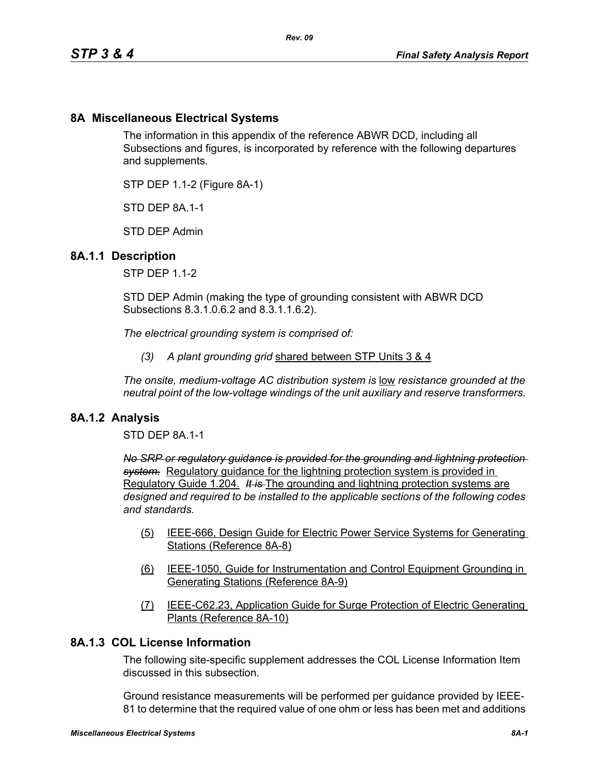# **8A Miscellaneous Electrical Systems**

The information in this appendix of the reference ABWR DCD, including all Subsections and figures, is incorporated by reference with the following departures and supplements.

STP DEP 1.1-2 (Figure 8A-1)

STD DFP 8A 1-1

STD DEP Admin

#### **8A.1.1 Description**

STP DEP 1.1-2

STD DEP Admin (making the type of grounding consistent with ABWR DCD Subsections 8.3.1.0.6.2 and 8.3.1.1.6.2).

*The electrical grounding system is comprised of:*

*(3) A plant grounding grid* shared between STP Units 3 & 4

*The onsite, medium-voltage AC distribution system is* low *resistance grounded at the neutral point of the low-voltage windings of the unit auxiliary and reserve transformers.* 

#### **8A.1.2 Analysis**

STD DEP 8A.1-1

*No SRP or regulatory guidance is provided for the grounding and lightning protection system.* Regulatory guidance for the lightning protection system is provided in Regulatory Guide 1.204. *It is* The grounding and lightning protection systems are *designed and required to be installed to the applicable sections of the following codes and standards.*

- (5) IEEE-666, Design Guide for Electric Power Service Systems for Generating Stations (Reference 8A-8)
- (6) IEEE-1050, Guide for Instrumentation and Control Equipment Grounding in Generating Stations (Reference 8A-9)
- (7) IEEE-C62.23, Application Guide for Surge Protection of Electric Generating Plants (Reference 8A-10)

## **8A.1.3 COL License Information**

The following site-specific supplement addresses the COL License Information Item discussed in this subsection.

Ground resistance measurements will be performed per guidance provided by IEEE-81 to determine that the required value of one ohm or less has been met and additions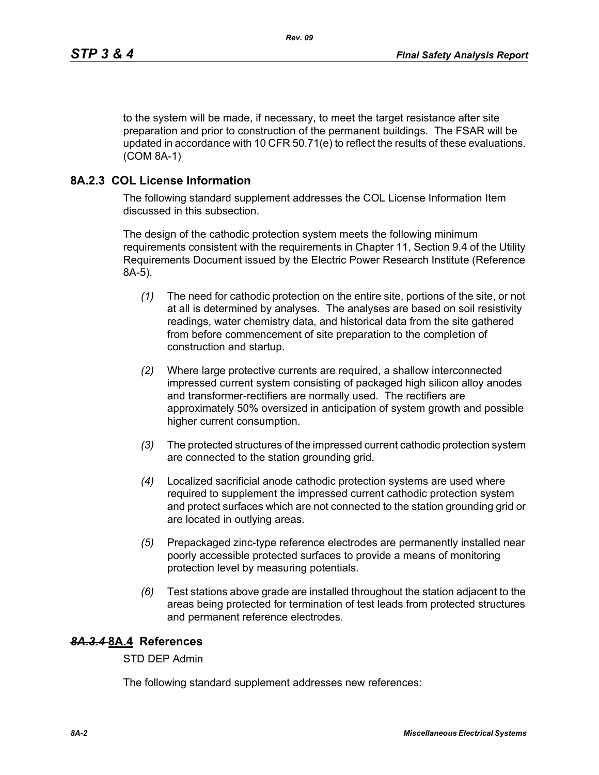to the system will be made, if necessary, to meet the target resistance after site preparation and prior to construction of the permanent buildings. The FSAR will be updated in accordance with 10 CFR 50.71(e) to reflect the results of these evaluations. (COM 8A-1)

## **8A.2.3 COL License Information**

The following standard supplement addresses the COL License Information Item discussed in this subsection.

The design of the cathodic protection system meets the following minimum requirements consistent with the requirements in Chapter 11, Section 9.4 of the Utility Requirements Document issued by the Electric Power Research Institute (Reference 8A-5).

- *(1)* The need for cathodic protection on the entire site, portions of the site, or not at all is determined by analyses. The analyses are based on soil resistivity readings, water chemistry data, and historical data from the site gathered from before commencement of site preparation to the completion of construction and startup.
- *(2)* Where large protective currents are required, a shallow interconnected impressed current system consisting of packaged high silicon alloy anodes and transformer-rectifiers are normally used. The rectifiers are approximately 50% oversized in anticipation of system growth and possible higher current consumption.
- *(3)* The protected structures of the impressed current cathodic protection system are connected to the station grounding grid.
- *(4)* Localized sacrificial anode cathodic protection systems are used where required to supplement the impressed current cathodic protection system and protect surfaces which are not connected to the station grounding grid or are located in outlying areas.
- *(5)* Prepackaged zinc-type reference electrodes are permanently installed near poorly accessible protected surfaces to provide a means of monitoring protection level by measuring potentials.
- *(6)* Test stations above grade are installed throughout the station adjacent to the areas being protected for termination of test leads from protected structures and permanent reference electrodes.

## *8A.3.4* **8A.4 References**

STD DEP Admin

The following standard supplement addresses new references: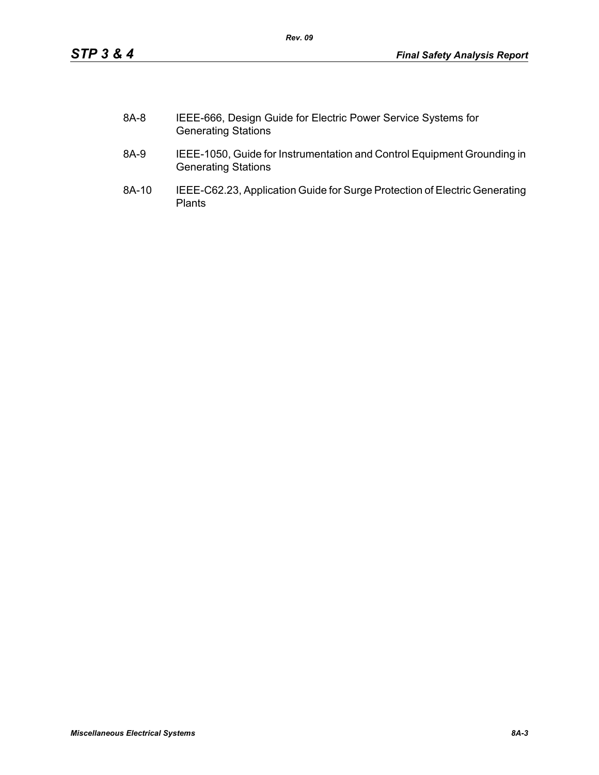| 8A-8 | IEEE-666, Design Guide for Electric Power Service Systems for |
|------|---------------------------------------------------------------|
|      | <b>Generating Stations</b>                                    |

*Rev. 09*

- 8A-9 IEEE-1050, Guide for Instrumentation and Control Equipment Grounding in Generating Stations
- 8A-10 IEEE-C62.23, Application Guide for Surge Protection of Electric Generating Plants